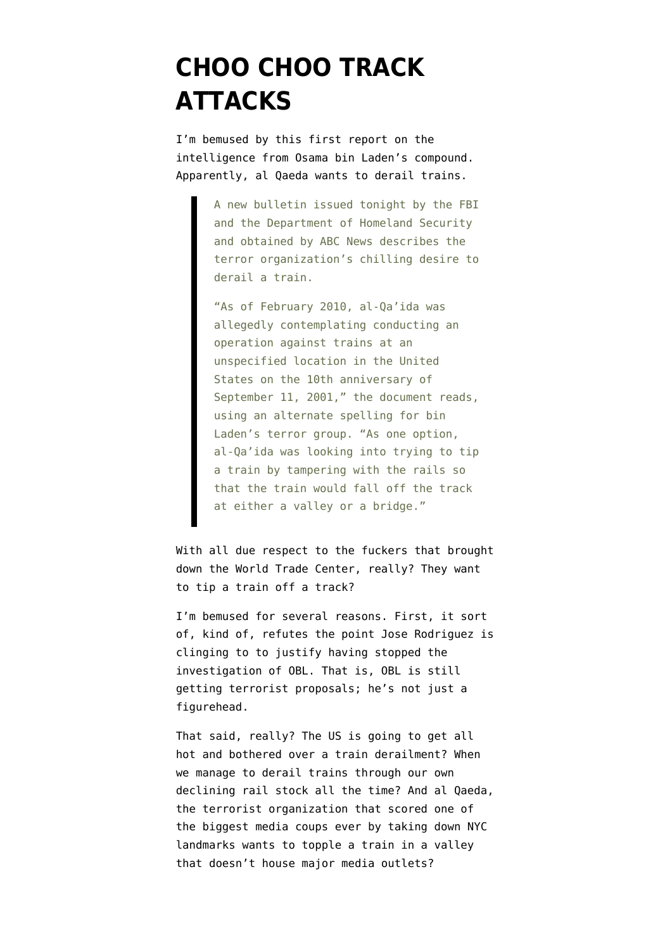## **[CHOO CHOO TRACK](https://www.emptywheel.net/2011/05/05/choo-choo-track-attacks/) [ATTACKS](https://www.emptywheel.net/2011/05/05/choo-choo-track-attacks/)**

I'm bemused by [this first report](http://abcnews.go.com/Blotter/osama-bin-laden-evidence-al-qaeda-considered-911/story?id=13536789) on the intelligence from Osama bin Laden's compound. Apparently, al Qaeda wants to derail trains.

> A new bulletin issued tonight by the FBI and the Department of Homeland Security and obtained by ABC News describes the terror organization's chilling desire to derail a train.

> "As of February 2010, al-Qa'ida was allegedly contemplating conducting an operation against trains at an unspecified location in the United States on the 10th anniversary of September 11, 2001," the document reads, using an alternate spelling for bin Laden's terror group. "As one option, al-Qa'ida was looking into trying to tip a train by tampering with the rails so that the train would fall off the track at either a valley or a bridge."

With all due respect to the fuckers that brought down the World Trade Center, really? They want to tip a train off a track?

I'm bemused for several reasons. First, it sort of, kind of, refutes the point Jose Rodriguez is [clinging to](http://emptywheel.firedoglake.com/2011/05/04/jose-rodriguez-brags-that-he-got-terrorists-to-deny-things-using-torture/) to justify having stopped the investigation of OBL. That is, OBL is still getting terrorist proposals; he's not just a figurehead.

That said, really? The US is going to get all hot and bothered over a train derailment? When we [manage to derail trains](http://www.oregonlive.com/pacific-northwest-news/index.ssf/2011/05/rail_officials_unload_some_ethanol_work_on_track_in_derailment_near_portland.html) through our own declining rail stock all the time? And al Qaeda, the terrorist organization that scored one of the biggest media coups ever by taking down NYC landmarks wants to topple a train in a valley that doesn't house major media outlets?